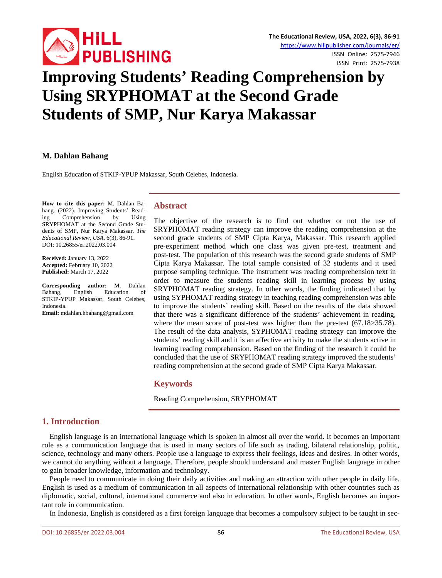

# **Improving Students' Reading Comprehension by Using SRYPHOMAT at the Second Grade Students of SMP, Nur Karya Makassar**

**M. Dahlan Bahang**

English Education of STKIP-YPUP Makassar, South Celebes, Indonesia.

**How to cite this paper:** M. Dahlan Bahang. (2022). Improving Students' Read-<br>ing Comprehension by Using ing Comprehension by SRYPHOMAT at the Second Grade Students of SMP, Nur Karya Makassar. *The Educational Review, USA*, 6(3), 86-91. DOI: 10.26855/er.2022.03.004

**Received:** January 13, 2022 **Accepted:** February 10, 2022 **Published:** March 17, 2022

**Corresponding author:** M. Dahlan Bahang, English Education of STKIP-YPUP Makassar, South Celebes, Indonesia.

**Email:** mdahlan.hbahang@gmail.com

## **Abstract**

The objective of the research is to find out whether or not the use of SRYPHOMAT reading strategy can improve the reading comprehension at the second grade students of SMP Cipta Karya, Makassar. This research applied pre-experiment method which one class was given pre-test, treatment and post-test. The population of this research was the second grade students of SMP Cipta Karya Makassar. The total sample consisted of 32 students and it used purpose sampling technique. The instrument was reading comprehension text in order to measure the students reading skill in learning process by using SRYPHOMAT reading strategy. In other words, the finding indicated that by using SYPHOMAT reading strategy in teaching reading comprehension was able to improve the students' reading skill. Based on the results of the data showed that there was a significant difference of the students' achievement in reading, where the mean score of post-test was higher than the pre-test (67.18>35.78). The result of the data analysis, SYPHOMAT reading strategy can improve the students' reading skill and it is an affective activity to make the students active in learning reading comprehension. Based on the finding of the research it could be concluded that the use of SRYPHOMAT reading strategy improved the students' reading comprehension at the second grade of SMP Cipta Karya Makassar.

## **Keywords**

Reading Comprehension, SRYPHOMAT

# **1. Introduction**

English language is an international language which is spoken in almost all over the world. It becomes an important role as a communication language that is used in many sectors of life such as trading, bilateral relationship, politic, science, technology and many others. People use a language to express their feelings, ideas and desires. In other words, we cannot do anything without a language. Therefore, people should understand and master English language in other to gain broader knowledge, information and technology.

People need to communicate in doing their daily activities and making an attraction with other people in daily life. English is used as a medium of communication in all aspects of international relationship with other countries such as diplomatic, social, cultural, international commerce and also in education. In other words, English becomes an important role in communication.

In Indonesia, English is considered as a first foreign language that becomes a compulsory subject to be taught in sec-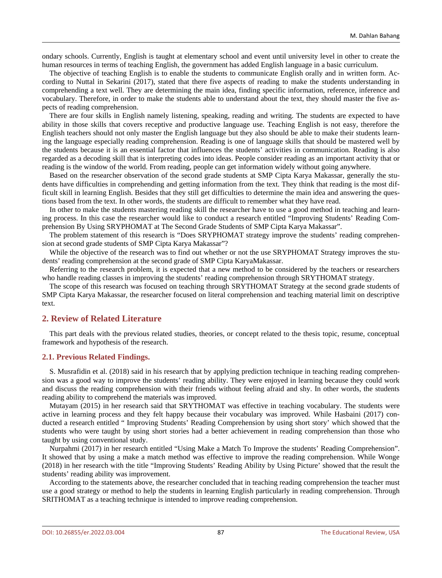ondary schools. Currently, English is taught at elementary school and event until university level in other to create the human resources in terms of teaching English, the government has added English language in a basic curriculum.

The objective of teaching English is to enable the students to communicate English orally and in written form. According to Nuttal in Sekarini (2017), stated that there five aspects of reading to make the students understanding in comprehending a text well. They are determining the main idea, finding specific information, reference, inference and vocabulary. Therefore, in order to make the students able to understand about the text, they should master the five aspects of reading comprehension.

There are four skills in English namely listening, speaking, reading and writing. The students are expected to have ability in those skills that covers receptive and productive language use. Teaching English is not easy, therefore the English teachers should not only master the English language but they also should be able to make their students learning the language especially reading comprehension. Reading is one of language skills that should be mastered well by the students because it is an essential factor that influences the students' activities in communication. Reading is also regarded as a decoding skill that is interpreting codes into ideas. People consider reading as an important activity that or reading is the window of the world. From reading, people can get information widely without going anywhere.

Based on the researcher observation of the second grade students at SMP Cipta Karya Makassar, generally the students have difficulties in comprehending and getting information from the text. They think that reading is the most difficult skill in learning English. Besides that they still get difficulties to determine the main idea and answering the questions based from the text. In other words, the students are difficult to remember what they have read.

In other to make the students mastering reading skill the researcher have to use a good method in teaching and learning process. In this case the researcher would like to conduct a research entitled "Improving Students' Reading Comprehension By Using SRYPHOMAT at The Second Grade Students of SMP Cipta Karya Makassar".

The problem statement of this research is "Does SRYPHOMAT strategy improve the students' reading comprehension at second grade students of SMP Cipta Karya Makassar"?

While the objective of the research was to find out whether or not the use SRYPHOMAT Strategy improves the students' reading comprehension at the second grade of SMP Cipta KaryaMakassar.

Referring to the research problem, it is expected that a new method to be considered by the teachers or researchers who handle reading classes in improving the students' reading comprehension through SRYTHOMAT strategy.

The scope of this research was focused on teaching through SRYTHOMAT Strategy at the second grade students of SMP Cipta Karya Makassar, the researcher focused on literal comprehension and teaching material limit on descriptive text.

### **2. Review of Related Literature**

This part deals with the previous related studies, theories, or concept related to the thesis topic, resume, conceptual framework and hypothesis of the research.

#### **2.1. Previous Related Findings.**

S. Musrafidin et al. (2018) said in his research that by applying prediction technique in teaching reading comprehension was a good way to improve the students' reading ability. They were enjoyed in learning because they could work and discuss the reading comprehension with their friends without feeling afraid and shy. In other words, the students reading ability to comprehend the materials was improved.

Mutayam (2015) in her research said that SRYTHOMAT was effective in teaching vocabulary. The students were active in learning process and they felt happy because their vocabulary was improved. While Hasbaini (2017) conducted a research entitled " Improving Students' Reading Comprehension by using short story' which showed that the students who were taught by using short stories had a better achievement in reading comprehension than those who taught by using conventional study.

Nurpahmi (2017) in her research entitled "Using Make a Match To Improve the students' Reading Comprehension". It showed that by using a make a match method was effective to improve the reading comprehension. While Wonge (2018) in her research with the title "Improving Students' Reading Ability by Using Picture' showed that the result the students' reading ability was improvement.

According to the statements above, the researcher concluded that in teaching reading comprehension the teacher must use a good strategy or method to help the students in learning English particularly in reading comprehension. Through SRITHOMAT as a teaching technique is intended to improve reading comprehension.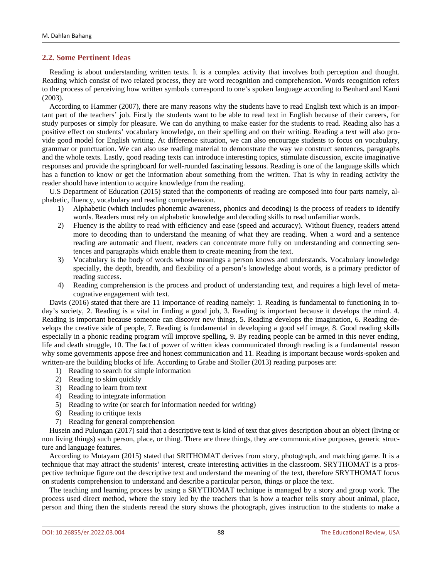## **2.2. Some Pertinent Ideas**

Reading is about understanding written texts. It is a complex activity that involves both perception and thought. Reading which consist of two related process, they are word recognition and comprehension. Words recognition refers to the process of perceiving how written symbols correspond to one's spoken language according to Benhard and Kami (2003).

According to Hammer (2007), there are many reasons why the students have to read English text which is an important part of the teachers' job. Firstly the students want to be able to read text in English because of their careers, for study purposes or simply for pleasure. We can do anything to make easier for the students to read. Reading also has a positive effect on students' vocabulary knowledge, on their spelling and on their writing. Reading a text will also provide good model for English writing. At difference situation, we can also encourage students to focus on vocabulary, grammar or punctuation. We can also use reading material to demonstrate the way we construct sentences, paragraphs and the whole texts. Lastly, good reading texts can introduce interesting topics, stimulate discussion, excite imaginative responses and provide the springboard for well-rounded fascinating lessons. Reading is one of the language skills which has a function to know or get the information about something from the written. That is why in reading activity the reader should have intention to acquire knowledge from the reading.

U.S Department of Education (2015) stated that the components of reading are composed into four parts namely, alphabetic, fluency, vocabulary and reading comprehension.

- 1) Alphabetic (which includes phonemic awareness, phonics and decoding) is the process of readers to identify words. Readers must rely on alphabetic knowledge and decoding skills to read unfamiliar words.
- 2) Fluency is the ability to read with efficiency and ease (speed and accuracy). Without fluency, readers attend more to decoding than to understand the meaning of what they are reading. When a word and a sentence reading are automatic and fluent, readers can concentrate more fully on understanding and connecting sentences and paragraphs which enable them to create meaning from the text.
- 3) Vocabulary is the body of words whose meanings a person knows and understands. Vocabulary knowledge specially, the depth, breadth, and flexibility of a person's knowledge about words, is a primary predictor of reading success.
- 4) Reading comprehension is the process and product of understanding text, and requires a high level of metacognative engagement with text.

Davis (2016) stated that there are 11 importance of reading namely: 1. Reading is fundamental to functioning in today's society, 2. Reading is a vital in finding a good job, 3. Reading is important because it develops the mind. 4. Reading is important because someone can discover new things, 5. Reading develops the imagination, 6. Reading develops the creative side of people, 7. Reading is fundamental in developing a good self image, 8. Good reading skills especially in a phonic reading program will improve spelling, 9. By reading people can be armed in this never ending, life and death struggle, 10. The fact of power of written ideas communicated through reading is a fundamental reason why some governments appose free and honest communication and 11. Reading is important because words-spoken and written-are the building blocks of life. According to Grabe and Stoller (2013) reading purposes are:

- 1) Reading to search for simple information
- 2) Reading to skim quickly
- 3) Reading to learn from text
- 4) Reading to integrate information
- 5) Reading to write (or search for information needed for writing)
- 6) Reading to critique texts
- 7) Reading for general comprehension

Husein and Pulungan (2017) said that a descriptive text is kind of text that gives description about an object (living or non living things) such person, place, or thing. There are three things, they are communicative purposes, generic structure and language features.

According to Mutayam (2015) stated that SRITHOMAT derives from story, photograph, and matching game. It is a technique that may attract the students' interest, create interesting activities in the classroom. SRYTHOMAT is a prospective technique figure out the descriptive text and understand the meaning of the text, therefore SRYTHOMAT focus on students comprehension to understand and describe a particular person, things or place the text.

The teaching and learning process by using a SRYTHOMAT technique is managed by a story and group work. The process used direct method, where the story led by the teachers that is how a teacher tells story about animal, place, person and thing then the students reread the story shows the photograph, gives instruction to the students to make a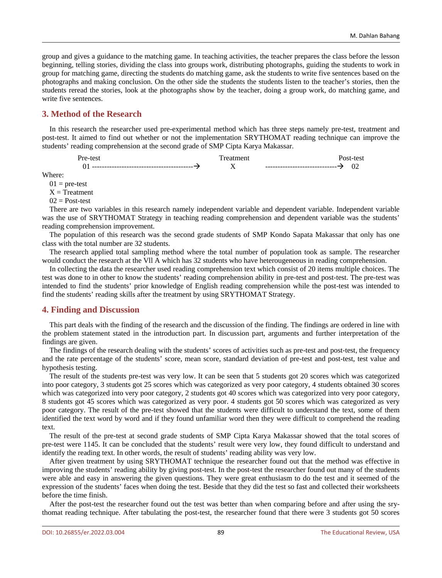group and gives a guidance to the matching game. In teaching activities, the teacher prepares the class before the lesson beginning, telling stories, dividing the class into groups work, distributing photographs, guiding the students to work in group for matching game, directing the students do matching game, ask the students to write five sentences based on the photographs and making conclusion. On the other side the students the students listen to the teacher's stories, then the students reread the stories, look at the photographs show by the teacher, doing a group work, do matching game, and write five sentences.

# **3. Method of the Research**

In this research the researcher used pre-experimental method which has three steps namely pre-test, treatment and post-test. It aimed to find out whether or not the implementation SRYTHOMAT reading technique can improve the students' reading comprehension at the second grade of SMP Cipta Karya Makassar.

| $+ \sim -$<br>. د ب |              |  |
|---------------------|--------------|--|
| --------<br>.<br>UΙ | ------<br>-- |  |

Where:

 $01$  = pre-test

 $X = T$ reatment

 $02$  = Post-test

There are two variables in this research namely independent variable and dependent variable. Independent variable was the use of SRYTHOMAT Strategy in teaching reading comprehension and dependent variable was the students' reading comprehension improvement.

The population of this research was the second grade students of SMP Kondo Sapata Makassar that only has one class with the total number are 32 students.

The research applied total sampling method where the total number of population took as sample. The researcher would conduct the research at the Vll A which has 32 students who have heterougeneous in reading comprehension.

In collecting the data the researcher used reading comprehension text which consist of 20 items multiple choices. The test was done to in other to know the students' reading comprehension ability in pre-test and post-test. The pre-test was intended to find the students' prior knowledge of English reading comprehension while the post-test was intended to find the students' reading skills after the treatment by using SRYTHOMAT Strategy.

# **4. Finding and Discussion**

This part deals with the finding of the research and the discussion of the finding. The findings are ordered in line with the problem statement stated in the introduction part. In discussion part, arguments and further interpretation of the findings are given.

The findings of the research dealing with the students' scores of activities such as pre-test and post-test, the frequency and the rate percentage of the students' score, mean score, standard deviation of pre-test and post-test, test value and hypothesis testing.

The result of the students pre-test was very low. It can be seen that 5 students got 20 scores which was categorized into poor category, 3 students got 25 scores which was categorized as very poor category, 4 students obtained 30 scores which was categorized into very poor category, 2 students got 40 scores which was categorized into very poor category, 8 students got 45 scores which was categorized as very poor. 4 students got 50 scores which was categorized as very poor category. The result of the pre-test showed that the students were difficult to understand the text, some of them identified the text word by word and if they found unfamiliar word then they were difficult to comprehend the reading text.

The result of the pre-test at second grade students of SMP Cipta Karya Makassar showed that the total scores of pre-test were 1145. It can be concluded that the students' result were very low, they found difficult to understand and identify the reading text. In other words, the result of students' reading ability was very low.

After given treatment by using SRYTHOMAT technique the researcher found out that the method was effective in improving the students' reading ability by giving post-test. In the post-test the researcher found out many of the students were able and easy in answering the given questions. They were great enthusiasm to do the test and it seemed of the expression of the students' faces when doing the test. Beside that they did the test so fast and collected their worksheets before the time finish.

After the post-test the researcher found out the test was better than when comparing before and after using the srythomat reading technique. After tabulating the post-test, the researcher found that there were 3 students got 50 scores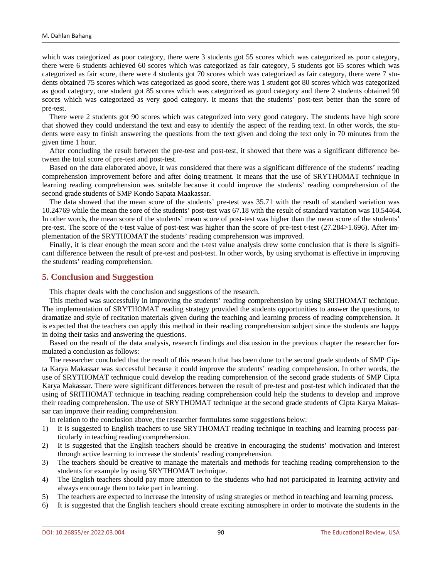which was categorized as poor category, there were 3 students got 55 scores which was categorized as poor category, there were 6 students achieved 60 scores which was categorized as fair category, 5 students got 65 scores which was categorized as fair score, there were 4 students got 70 scores which was categorized as fair category, there were 7 students obtained 75 scores which was categorized as good score, there was 1 student got 80 scores which was categorized as good category, one student got 85 scores which was categorized as good category and there 2 students obtained 90 scores which was categorized as very good category. It means that the students' post-test better than the score of pre-test.

There were 2 students got 90 scores which was categorized into very good category. The students have high score that showed they could understand the text and easy to identify the aspect of the reading text. In other words, the students were easy to finish answering the questions from the text given and doing the text only in 70 minutes from the given time 1 hour.

After concluding the result between the pre-test and post-test, it showed that there was a significant difference between the total score of pre-test and post-test.

Based on the data elaborated above, it was considered that there was a significant difference of the students' reading comprehension improvement before and after doing treatment. It means that the use of SRYTHOMAT technique in learning reading comprehension was suitable because it could improve the students' reading comprehension of the second grade students of SMP Kondo Sapata Maakassar.

The data showed that the mean score of the students' pre-test was 35.71 with the result of standard variation was 10.24769 while the mean the sore of the students' post-test was 67.18 with the result of standard variation was 10.54464. In other words, the mean score of the students' mean score of post-test was higher than the mean score of the students' pre-test. The score of the t-test value of post-test was higher than the score of pre-test t-test (27.284>1.696). After implementation of the SRYTHOMAT the students' reading comprehension was improved.

Finally, it is clear enough the mean score and the t-test value analysis drew some conclusion that is there is significant difference between the result of pre-test and post-test. In other words, by using srythomat is effective in improving the students' reading comprehension.

#### **5. Conclusion and Suggestion**

This chapter deals with the conclusion and suggestions of the research.

This method was successfully in improving the students' reading comprehension by using SRITHOMAT technique. The implementation of SRYTHOMAT reading strategy provided the students opportunities to answer the questions, to dramatize and style of recitation materials given during the teaching and learning process of reading comprehension. It is expected that the teachers can apply this method in their reading comprehension subject since the students are happy in doing their tasks and answering the questions.

Based on the result of the data analysis, research findings and discussion in the previous chapter the researcher formulated a conclusion as follows:

The researcher concluded that the result of this research that has been done to the second grade students of SMP Cipta Karya Makassar was successful because it could improve the students' reading comprehension. In other words, the use of SRYTHOMAT technique could develop the reading comprehension of the second grade students of SMP Cipta Karya Makassar. There were significant differences between the result of pre-test and post-test which indicated that the using of SRITHOMAT technique in teaching reading comprehension could help the students to develop and improve their reading comprehension. The use of SRYTHOMAT technique at the second grade students of Cipta Karya Makassar can improve their reading comprehension.

In relation to the conclusion above, the researcher formulates some suggestions below:

- 1) It is suggested to English teachers to use SRYTHOMAT reading technique in teaching and learning process particularly in teaching reading comprehension.
- 2) It is suggested that the English teachers should be creative in encouraging the students' motivation and interest through active learning to increase the students' reading comprehension.
- 3) The teachers should be creative to manage the materials and methods for teaching reading comprehension to the students for example by using SRYTHOMAT technique.
- 4) The English teachers should pay more attention to the students who had not participated in learning activity and always encourage them to take part in learning.
- 5) The teachers are expected to increase the intensity of using strategies or method in teaching and learning process.
- 6) It is suggested that the English teachers should create exciting atmosphere in order to motivate the students in the